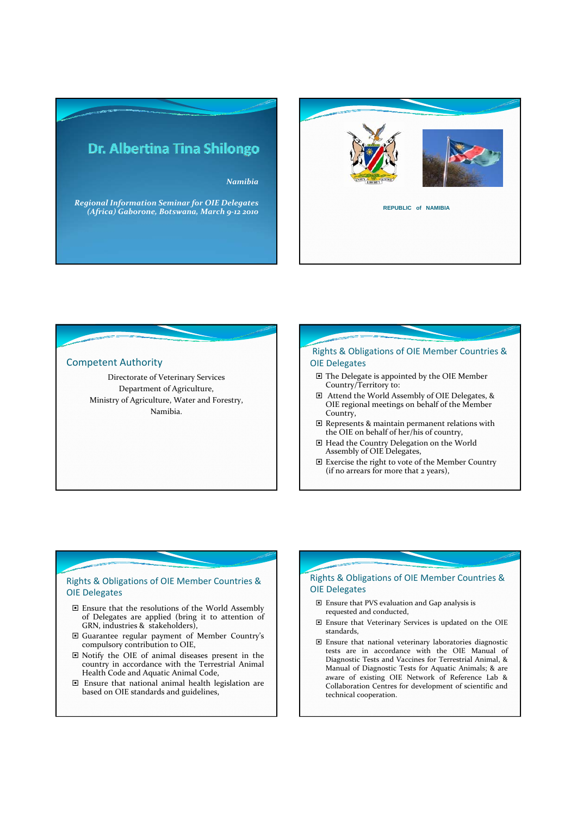

*Regional Information Seminar for OIE Delegates (Africa) Gaborone, Botswana, March 9‐12 2010* **REPUBLIC of NAMIBIA**



#### Competent Authority Directorate of Veterinary Services Department of Agriculture, Ministry of Agriculture, Water and Forestry, Namibia. Rights & Obligations of OIE Member Countries & OIE Delegates □ The Delegate is appointed by the OIE Member Country/Territory to: Attend the World Assembly of OIE Delegates, & OIE regional meetings on behalf of the Member Country,  $\Box$  Represents & maintain permanent relations with the OIE on behalf of her/his of country, Head the Country Delegation on the World Assembly of OIE Delegates, Exercise the right to vote of the Member Country (if no arrears for more that 2 years),

# Rights & Obligations of OIE Member Countries & OIE Delegates

- Ensure that the resolutions of the World Assembly of Delegates are applied (bring it to attention of GRN, industries & stakeholders),
- Guarantee regular payment of Member Country's compulsory contribution to OIE,
- Notify the OIE of animal diseases present in the country in accordance with the Terrestrial Animal Health Code and Aquatic Animal Code,
- Ensure that national animal health legislation are based on OIE standards and guidelines,

# Rights & Obligations of OIE Member Countries & OIE Delegates

- Ensure that PVS evaluation and Gap analysis is requested and conducted,
- Ensure that Veterinary Services is updated on the OIE standards,
- Ensure that national veterinary laboratories diagnostic tests are in accordance with the OIE Manual of Diagnostic Tests and Vaccines for Terrestrial Animal, & Manual of Diagnostic Tests for Aquatic Animals; & are aware of existing OIE Network of Reference Lab & Collaboration Centres for development of scientific and technical cooperation.